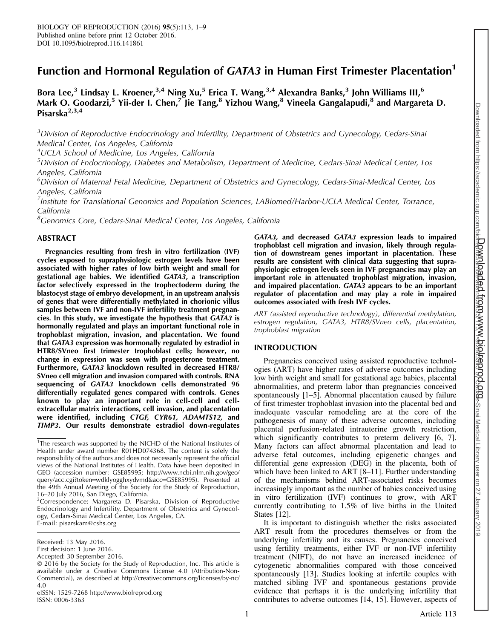# Function and Hormonal Regulation of GATA3 in Human First Trimester Placentation<sup>1</sup>

Bora Lee,<sup>3</sup> Lindsay L. Kroener,<sup>3,4</sup> Ning Xu,<sup>5</sup> Erica T. Wang,<sup>3,4</sup> Alexandra Banks,<sup>3</sup> John Williams III,<sup>6</sup> Mark O. Goodarzi,<sup>5</sup> Yii-der I. Chen,<sup>7</sup> Jie Tang,<sup>8</sup> Yizhou Wang,<sup>8</sup> Vineela Gangalapudi,<sup>8</sup> and Margareta D. Pisarska<sup>2,3,4</sup>

 $3$ Division of Reproductive Endocrinology and Infertility, Department of Obstetrics and Gynecology, Cedars-Sinai Medical Center, Los Angeles, California

4 UCLA School of Medicine, Los Angeles, California

<sup>5</sup>Division of Endocrinology, Diabetes and Metabolism, Department of Medicine, Cedars-Sinai Medical Center, Los Angeles, California

6 Division of Maternal Fetal Medicine, Department of Obstetrics and Gynecology, Cedars-Sinai-Medical Center, Los Angeles, California

<sup>7</sup> Institute for Translational Genomics and Population Sciences, LABiomed/Harbor-UCLA Medical Center, Torrance, California

<sup>8</sup>Genomics Core, Cedars-Sinai Medical Center, Los Angeles, California

## ABSTRACT

Pregnancies resulting from fresh in vitro fertilization (IVF) cycles exposed to supraphysiologic estrogen levels have been associated with higher rates of low birth weight and small for gestational age babies. We identified GATA3, a transcription factor selectively expressed in the trophectoderm during the blastocyst stage of embryo development, in an upstream analysis of genes that were differentially methylated in chorionic villus samples between IVF and non-IVF infertility treatment pregnancies. In this study, we investigate the hypothesis that GATA3 is hormonally regulated and plays an important functional role in trophoblast migration, invasion, and placentation. We found that GATA3 expression was hormonally regulated by estradiol in HTR8/SVneo first trimester trophoblast cells; however, no change in expression was seen with progesterone treatment. Furthermore, GATA3 knockdown resulted in decreased HTR8/ SVneo cell migration and invasion compared with controls. RNA sequencing of GATA3 knockdown cells demonstrated 96 differentially regulated genes compared with controls. Genes known to play an important role in cell-cell and cellextracellular matrix interactions, cell invasion, and placentation were identified, including CTGF, CYR61, ADAMTS12, and TIMP3. Our results demonstrate estradiol down-regulates

eISSN: 1529-7268 http://www.biolreprod.org ISSN: 0006-3363

GATA3, and decreased GATA3 expression leads to impaired trophoblast cell migration and invasion, likely through regulation of downstream genes important in placentation. These results are consistent with clinical data suggesting that supraphysiologic estrogen levels seen in IVF pregnancies may play an important role in attenuated trophoblast migration, invasion, and impaired placentation. GATA3 appears to be an important regulator of placentation and may play a role in impaired outcomes associated with fresh IVF cycles.

ART (assisted reproductive technology), differential methylation, estrogen regulation, GATA3, HTR8/SVneo cells, placentation, trophoblast migration

## INTRODUCTION

Pregnancies conceived using assisted reproductive technologies (ART) have higher rates of adverse outcomes including low birth weight and small for gestational age babies, placental abnormalities, and preterm labor than pregnancies conceived spontaneously [1–5]. Abnormal placentation caused by failure of first trimester trophoblast invasion into the placental bed and inadequate vascular remodeling are at the core of the pathogenesis of many of these adverse outcomes, including placental perfusion-related intrauterine growth restriction, which significantly contributes to preterm delivery [6, 7]. Many factors can affect abnormal placentation and lead to adverse fetal outcomes, including epigenetic changes and differential gene expression (DEG) in the placenta, both of which have been linked to ART [8-11]. Further understanding of the mechanisms behind ART-associated risks becomes increasingly important as the number of babies conceived using in vitro fertilization (IVF) continues to grow, with ART currently contributing to 1.5% of live births in the United States [12].

It is important to distinguish whether the risks associated ART result from the procedures themselves or from the underlying infertility and its causes. Pregnancies conceived using fertility treatments, either IVF or non-IVF infertility treatment (NIFT), do not have an increased incidence of cytogenetic abnormalities compared with those conceived spontaneously [13]. Studies looking at infertile couples with matched sibling IVF and spontaneous gestations provide evidence that perhaps it is the underlying infertility that contributes to adverse outcomes [14, 15]. However, aspects of

<sup>&</sup>lt;sup>1</sup>The research was supported by the NICHD of the National Institutes of Health under award number R01HD074368. The content is solely the responsibility of the authors and does not necessarily represent the official views of the National Institutes of Health. Data have been deposited in GEO (accession number: GSE85995; http://www.ncbi.nlm.nih.gov/geo/ query/acc.cgi?token=wdklyogghxydvmd&acc=GSE85995). Presented at the 49th Annual Meeting of the Society for the Study of Reproduction, 16–20 July 2016, San Diego, California.

<sup>&</sup>lt;sup>2</sup>Correspondence: Margareta D. Pisarska, Division of Reproductive Endocrinology and Infertility, Department of Obstetrics and Gynecology, Cedars-Sinai Medical Center, Los Angeles, CA. E-mail: pisarskam@cshs.org

Received: 13 May 2016.

First decision: 1 June 2016.

Accepted: 30 September 2016.

<sup>© 2016</sup> by the Society for the Study of Reproduction, Inc. This article is available under a Creative Commons License 4.0 (Attribution-Non-Commercial), as described at http://creativecommons.org/licenses/by-nc/ 4.0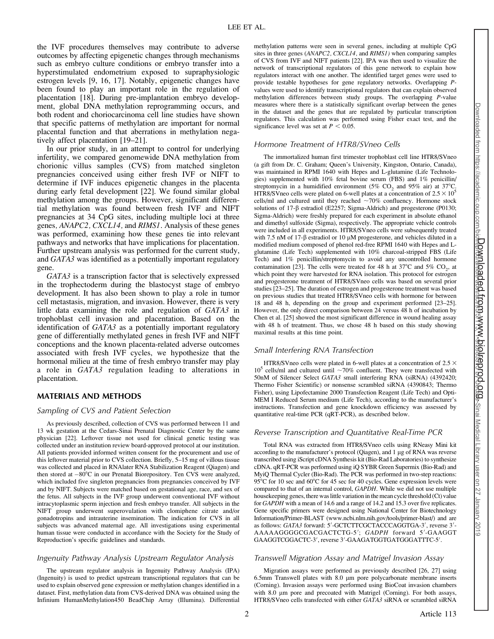the IVF procedures themselves may contribute to adverse outcomes by affecting epigenetic changes through mechanisms such as embryo culture conditions or embryo transfer into a hyperstimulated endometrium exposed to supraphysiologic estrogen levels [9, 16, 17]. Notably, epigenetic changes have been found to play an important role in the regulation of placentation [18]. During pre-implantation embryo development, global DNA methylation reprogramming occurs, and both rodent and choriocarcinoma cell line studies have shown that specific patterns of methylation are important for normal placental function and that aberrations in methylation negatively affect placentation [19–21].

In our prior study, in an attempt to control for underlying infertility, we compared genomewide DNA methylation from chorionic villus samples (CVS) from matched singleton pregnancies conceived using either fresh IVF or NIFT to determine if IVF induces epigenetic changes in the placenta during early fetal development [22]. We found similar global methylation among the groups. However, significant differential methylation was found between fresh IVF and NIFT pregnancies at 34 CpG sites, including multiple loci at three genes, ANAPC2, CXCL14, and RIMS1. Analysis of these genes was performed, examining how these genes tie into relevant pathways and networks that have implications for placentation. Further upstream analysis was performed for the current study, and GATA3 was identified as a potentially important regulatory gene.

GATA3 is a transcription factor that is selectively expressed in the trophectoderm during the blastocyst stage of embryo development. It has also been shown to play a role in tumor cell metastasis, migration, and invasion. However, there is very little data examining the role and regulation of GATA3 in trophoblast cell invasion and placentation. Based on the identification of GATA3 as a potentially important regulatory gene of differentially methylated genes in fresh IVF and NIFT conceptions and the known placenta-related adverse outcomes associated with fresh IVF cycles, we hypothesize that the hormonal milieu at the time of fresh embryo transfer may play a role in GATA3 regulation leading to alterations in placentation.

## MATERIALS AND METHODS

#### Sampling of CVS and Patient Selection

As previously described, collection of CVS was performed between 11 and 13 wk gestation at the Cedars-Sinai Prenatal Diagnostic Center by the same physician [22]. Leftover tissue not used for clinical genetic testing was collected under an institution review board-approved protocol at our institution. All patients provided informed written consent for the procurement and use of this leftover material prior to CVS collection. Briefly, 5–15 mg of villous tissue was collected and placed in RNAlater RNA Stabilization Reagent (Qiagen) and then stored at -80°C in our Prenatal Biorepository. Ten CVS were analyzed, which included five singleton pregnancies from pregnancies conceived by IVF and by NIFT. Subjects were matched based on gestational age, race, and sex of the fetus. All subjects in the IVF group underwent conventional IVF without intracytoplasmic sperm injection and fresh embryo transfer. All subjects in the NIFT group underwent superovulation with clomiphene citrate and/or gonadotropins and intrauterine insemination. The indication for CVS in all subjects was advanced maternal age. All investigations using experimental human tissue were conducted in accordance with the Society for the Study of Reproduction's specific guidelines and standards.

## Ingenuity Pathway Analysis Upstream Regulator Analysis

The upstream regulator analysis in Ingenuity Pathway Analysis (IPA) (Ingenuity) is used to predict upstream transcriptional regulators that can be used to explain observed gene expression or methylation changes identified in a dataset. First, methylation data from CVS-derived DNA was obtained using the Infinium HumanMethylation450 BeadChip Array (Illumina). Differential methylation patterns were seen in several genes, including at multiple CpG sites in three genes (ANAPC2, CXCL14, and RIMS1) when comparing samples of CVS from IVF and NIFT patients [22]. IPA was then used to visualize the network of transcriptional regulators of this gene network to explain how regulators interact with one another. The identified target genes were used to provide testable hypotheses for gene regulatory networks. Overlapping Pvalues were used to identify transcriptional regulators that can explain observed methylation differences between study groups. The overlapping P-value measures where there is a statistically significant overlap between the genes in the dataset and the genes that are regulated by particular transcription regulators. This calculation was performed using Fisher exact test, and the significance level was set at  $P < 0.05$ .

## Hormone Treatment of HTR8/SVneo Cells

The immortalized human first trimester trophoblast cell line HTR8/SVneo (a gift from Dr. C. Graham; Queen's University, Kingston, Ontario, Canada), was maintained in RPMI 1640 with Hepes and L-glutamine (Life Technologies) supplemented with 10% fetal bovine serum (FBS) and 1% penicillin/ streptomycin in a humidified environment (5% CO<sub>2</sub> and 95% air) at 37°C. HTR8/SVneo cells were plated on 6-well plates at a concentration of  $2.5 \times 10^5$ cells/ml and cultured until they reached  $\sim70\%$  confluency. Hormone stock solutions of 17- $\beta$  estradiol (E2257; Sigma-Aldrich) and progesterone (P0130; Sigma-Aldrich) were freshly prepared for each experiment in absolute ethanol and dimethyl sulfoxide (Sigma), respectively. The appropriate vehicle controls were included in all experiments. HTR8/SVneo cells were subsequently treated with 7.5 nM of 17- $\beta$  estradiol or 10  $\mu$ M progesterone, and vehicles diluted in a modified medium composed of phenol red-free RPMI 1640 with Hepes and Lglutamine (Life Tech) supplemented with 10% charcoal-stripped FBS (Life Tech) and 1% penicillin/streptomycin to avoid any uncontrolled hormone contamination [23]. The cells were treated for 48 h at 37°C and 5%  $CO_2$ , at which point they were harvested for RNA isolation. This protocol for estrogen and progesterone treatment of HTR8/SVneo cells was based on several prior studies [23–25]. The duration of estrogen and progesterone treatment was based on previous studies that treated HTR8/SVneo cells with hormone for between 18 and 48 h, depending on the group and experiment performed [23–25]. However, the only direct comparison between 24 versus 48 h of incubation by Chen et al. [25] showed the most significant difference in wound healing assay with 48 h of treatment. Thus, we chose 48 h based on this study showing maximal results at this time point.

## Small Interfering RNA Transfection

HTR8/SVneo cells were plated in 6-well plates at a concentration of 2.5  $\times$  $10^5$  cells/ml and cultured until  $\sim 70\%$  confluent. They were transfected with 50nM of Silencer Select GATA3 small interfering RNA (siRNA) (4392420; Thermo Fisher Scientific) or nonsense scrambled siRNA (4390843; Thermo Fisher), using Lipofectamine 2000 Transfection Reagent (Life Tech) and Opti-MEM I Reduced Serum medium (Life Tech), according to the manufacturer's instructions. Transfection and gene knockdown efficiency was assessed by quantitative real-time PCR (qRT-PCR), as described below.

## Reverse Transcription and Quantitative Real-Time PCR

Total RNA was extracted from HTR8/SVneo cells using RNeasy Mini kit according to the manufacturer's protocol (Qiagen), and  $1 \mu$ g of RNA was reverse transcribed using iScript cDNA Synthesis kit (Bio-Rad Laboratories) to synthesize cDNA. qRT-PCR was performed using iQ SYBR Green Supermix (Bio-Rad) and MyiQ Thermal Cycler (Bio-Rad). The PCR was performed in two-step reactions: 95 $\degree$ C for 10 sec and 60 $\degree$ C for 45 sec for 40 cycles. Gene expression levels were compared to that of an internal control, GAPDH. While we did not use multiple housekeeping genes, there was little variation in the mean cycle threshold (Ct) value for GAPDH with a mean of 14.6 and a range of 14.2 and 15.3 over five replicates. Gene specific primers were designed using National Center for Biotechnology Information/Primer-BLAST (www.ncbi.nlm.nih.gov/tools/primer-blast/) and are as follows: *GATA3* forward: 5'-GCTCTTCGCTACCCAGGTGA-3', reverse 3'-AAAAAGGGGCGACGACTCTG-5'; GADPH forward 5'-GAAGGT GAAGGTCGGACTC-3', reverse 3'-GAAGATGGTGATGGGATTTC-5'.

## Transwell Migration Assay and Matrigel Invasion Assay

Migration assays were performed as previously described [26, 27] using  $6.5$ mm Transwell plates with  $8.0 \mu$ m pore polycarbonate membrane inserts (Corning). Invasion assays were performed using BioCoat invasion chambers with 8.0 µm pore and precoated with Matrigel (Corning). For both assays, HTR8/SVneo cells transfected with either GATA3 siRNA or scrambled siRNA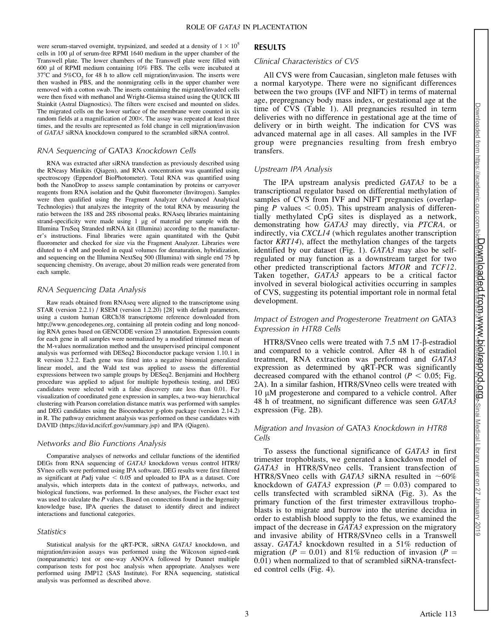were serum-starved overnight, trypsinized, and seeded at a density of  $1 \times 10^5$ cells in 100 µl of serum-free RPMI 1640 medium in the upper chamber of the Transwell plate. The lower chambers of the Transwell plate were filled with 600 ll of RPMI medium containing 10% FBS. The cells were incubated at  $37^{\circ}$ C and  $5\%$ CO<sub>2</sub> for 48 h to allow cell migration/invasion. The inserts were then washed in PBS, and the nonmigrating cells in the upper chamber were removed with a cotton swab. The inserts containing the migrated/invaded cells were then fixed with methanol and Wright-Giemsa stained using the QUICK III Stainkit (Astral Diagnostics). The filters were excised and mounted on slides. The migrated cells on the lower surface of the membrane were counted in six random fields at a magnification of 200 $\times$ . The assay was repeated at least three times, and the results are represented as fold change in cell migration/invasion of GATA3 siRNA knockdown compared to the scrambled siRNA control.

## RNA Sequencing of GATA3 Knockdown Cells

RNA was extracted after siRNA transfection as previously described using the RNeasy Minikits (Qiagen), and RNA concentration was quantified using spectroscopy (Eppendorf BioPhotometer). Total RNA was quantified using both the NanoDrop to assess sample contamination by proteins or carryover reagents from RNA isolation and the Qubit fluorometer (Invitrogen). Samples were then qualified using the Fragment Analyzer (Advanced Analytical Technologies) that analyzes the integrity of the total RNA by measuring the ratio between the 18S and 28S ribosomal peaks. RNAseq libraries maintaining strand-specificity were made using  $1 \mu$ g of material per sample with the Illumina TruSeq Stranded mRNA kit (Illumina) according to the manufacturer's instructions. Final libraries were again quantitated with the Qubit fluorometer and checked for size via the Fragment Analyzer. Libraries were diluted to 4 nM and pooled in equal volumes for denaturation, hybridization, and sequencing on the Illumina NextSeq 500 (Illumina) with single end 75 bp sequencing chemistry. On average, about 20 million reads were generated from each sample.

#### RNA Sequencing Data Analysis

Raw reads obtained from RNAseq were aligned to the transcriptome using STAR (version 2.2.1) / RSEM (version 1.2.20) [28] with default parameters, using a custom human GRCh38 transcriptome reference downloaded from http://www.gencodegenes.org, containing all protein coding and long noncoding RNA genes based on GENCODE version 23 annotation. Expression counts for each gene in all samples were normalized by a modified trimmed mean of the M-values normalization method and the unsupervised principal component analysis was performed with DESeq2 Bioconductor package version 1.10.1 in R version 3.2.2. Each gene was fitted into a negative binomial generalized linear model, and the Wald test was applied to assess the differential expressions between two sample groups by DESeq2. Benjamini and Hochberg procedure was applied to adjust for multiple hypothesis testing, and DEG candidates were selected with a false discovery rate less than 0.01. For visualization of coordinated gene expression in samples, a two-way hierarchical clustering with Pearson correlation distance matrix was performed with samples and DEG candidates using the Bioconductor g-plots package (version 2.14.2) in R. The pathway enrichment analysis was performed on these candidates with DAVID (https://david.ncifcrf.gov/summary.jsp) and IPA (Qiagen).

#### Networks and Bio Functions Analysis

Comparative analyses of networks and cellular functions of the identified DEGs from RNA sequencing of GATA3 knockdown versus control HTR8/ SVneo cells were performed using IPA software. DEG results were first filtered as significant at Padj value  $< 0.05$  and uploaded to IPA as a dataset. Core analysis, which interprets data in the context of pathways, networks, and biological functions, was performed. In these analyses, the Fischer exact test was used to calculate the P values. Based on connections found in the Ingenuity knowledge base, IPA queries the dataset to identify direct and indirect interactions and functional categories.

#### **Statistics**

Statistical analysis for the qRT-PCR, siRNA GATA3 knockdown, and migration/invasion assays was performed using the Wilcoxon signed-rank (nonparametric) test or one-way ANOVA followed by Dunnet multiple comparison tests for post hoc analysis when appropriate. Analyses were performed using JMP12 (SAS Institute). For RNA sequencing, statistical analysis was performed as described above.

#### RESULTS

#### Clinical Characteristics of CVS

All CVS were from Caucasian, singleton male fetuses with a normal karyotype. There were no significant differences between the two groups (IVF and NIFT) in terms of maternal age, prepregnancy body mass index, or gestational age at the time of CVS (Table 1). All pregnancies resulted in term deliveries with no difference in gestational age at the time of delivery or in birth weight. The indication for CVS was advanced maternal age in all cases. All samples in the IVF group were pregnancies resulting from fresh embryo transfers.

#### Upstream IPA Analysis

The IPA upstream analysis predicted GATA3 to be a transcriptional regulator based on differential methylation of samples of CVS from IVF and NIFT pregnancies (overlapping P values  $< 0.05$ ). This upstream analysis of differentially methylated CpG sites is displayed as a network, demonstrating how GATA3 may directly, via PTCRA, or indirectly, via CXCL14 (which regulates another transcription factor KRT14), affect the methylation changes of the targets identified by our dataset (Fig. 1). GATA3 may also be selfregulated or may function as a downstream target for two other predicted transcriptional factors MTOR and TCF12. Taken together, GATA3 appears to be a critical factor involved in several biological activities occurring in samples of CVS, suggesting its potential important role in normal fetal development.

## Impact of Estrogen and Progesterone Treatment on GATA3 Expression in HTR8 Cells

HTR8/SVneo cells were treated with 7.5 nM 17-b-estradiol and compared to a vehicle control. After 48 h of estradiol treatment, RNA extraction was performed and GATA3 expression as determined by qRT-PCR was significantly decreased compared with the ethanol control ( $P < 0.05$ ; Fig. 2A). In a similar fashion, HTR8/SVneo cells were treated with  $10 \mu$ M progesterone and compared to a vehicle control. After 48 h of treatment, no significant difference was seen GATA3 expression (Fig. 2B).

## Migration and Invasion of GATA3 Knockdown in HTR8 Cells

To assess the functional significance of GATA3 in first trimester trophoblasts, we generated a knockdown model of GATA3 in HTR8/SVneo cells. Transient transfection of HTR8/SVneo cells with GATA3 siRNA resulted in  $~10\%$ knockdown of GATA3 expression ( $P = 0.03$ ) compared to cells transfected with scrambled siRNA (Fig. 3). As the primary function of the first trimester extravillous trophoblasts is to migrate and burrow into the uterine decidua in order to establish blood supply to the fetus, we examined the impact of the decrease in  $\overline{GAT}A3$  expression on the migratory and invasive ability of HTR8/SVneo cells in a Transwell assay. GATA3 knockdown resulted in a 51% reduction of migration ( $P = 0.01$ ) and 81% reduction of invasion ( $P =$ 0.01) when normalized to that of scrambled siRNA-transfected control cells (Fig. 4).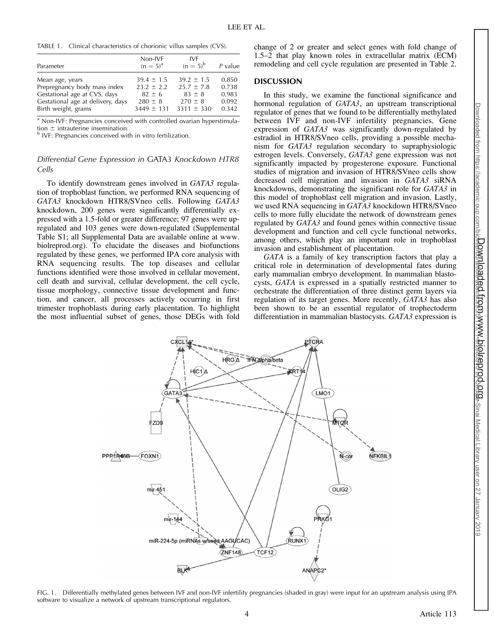TABLE 1. Clinical characteristics of chorionic villus samples (CVS).

| Parameter                         | Non-IVF<br>$(n = 5)^{a}$ | <b>IVF</b><br>$(n = 5)^{b}$ | $P$ value |
|-----------------------------------|--------------------------|-----------------------------|-----------|
| Mean age, years                   | $39.4 \pm 1.5$           | $39.2 \pm 1.5$              | 0.850     |
| Prepregnancy body mass index      | $23.2 \pm 2.2$           | $25.7 \pm 7.8$              | 0.738     |
| Gestational age at CVS, days      | $82 + 6$                 | $83 \pm 8$                  | 0.983     |
| Gestational age at delivery, days | $280 \pm 8$              | $270 \pm 8$                 | 0.092     |
| Birth weight, grams               | $3449 \pm 131$           | $3311 \pm 330$              | 0.342     |

<sup>a</sup> Non-IVF: Pregnancies conceived with controlled ovarian hyperstimula-

tion  $\pm$  intrauterine insemination.<br><sup>b</sup> IVF: Pregnancies conceived with in vitro fertilization.

# Differential Gene Expression in GATA3 Knockdown HTR8 Cells

To identify downstream genes involved in GATA3 regulation of trophoblast function, we performed RNA sequencing of GATA3 knockdown HTR8/SVneo cells. Following GATA3 knockdown, 200 genes were significantly differentially expressed with a 1.5-fold or greater difference; 97 genes were upregulated and 103 genes were down-regulated (Supplemental Table S1; all Supplemental Data are available online at www. biolreprod.org). To elucidate the diseases and biofunctions regulated by these genes, we performed IPA core analysis with RNA sequencing results. The top diseases and cellular functions identified were those involved in cellular movement, cell death and survival, cellular development, the cell cycle, tissue morphology, connective tissue development and function, and cancer, all processes actively occurring in first trimester trophoblasts during early placentation. To highlight the most influential subset of genes, those DEGs with fold change of 2 or greater and select genes with fold change of 1.5–2 that play known roles in extracellular matrix (ECM) remodeling and cell cycle regulation are presented in Table 2.

## DISCUSSION

In this study, we examine the functional significance and hormonal regulation of GATA3, an upstream transcriptional regulator of genes that we found to be differentially methylated between IVF and non-IVF infertility pregnancies. Gene expression of GATA3 was significantly down-regulated by estradiol in HTR8/SVneo cells, providing a possible mechanism for GATA3 regulation secondary to supraphysiologic estrogen levels. Conversely, GATA3 gene expression was not significantly impacted by progesterone exposure. Functional studies of migration and invasion of HTR8/SVneo cells show decreased cell migration and invasion in GATA3 siRNA knockdowns, demonstrating the significant role for GATA3 in this model of trophoblast cell migration and invasion. Lastly, we used RNA sequencing in GATA3 knockdown HTR8/SVneo cells to more fully elucidate the network of downstream genes regulated by GATA3 and found genes within connective tissue development and function and cell cycle functional networks, among others, which play an important role in trophoblast invasion and establishment of placentation.

GATA is a family of key transcription factors that play a critical role in determination of developmental fates during early mammalian embryo development. In mammalian blastocysts, GATA is expressed in a spatially restricted manner to orchestrate the differentiation of three distinct germ layers via regulation of its target genes. More recently, GATA3 has also been shown to be an essential regulator of trophectoderm differentiation in mammalian blastocysts. GATA3 expression is



FIG. 1. Differentially methylated genes between IVF and non-IVF infertility pregnancies (shaded in gray) were input for an upstream analysis using IPA software to visualize a network of upstream transcriptional regulators.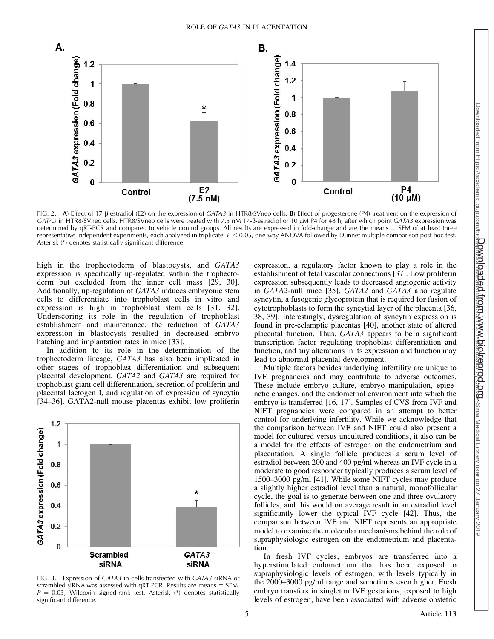

FIG. 2. A) Effect of 17-B estradiol (E2) on the expression of GATA3 in HTR8/SVneo cells. **B**) Effect of progesterone (P4) treatment on the expression of CATA3 in HTR8/SVneo cells. HTR8/SVneo cells were treated with 7.5 nM 17-B-estradiol or 10 µM P4 for 48 h, after which point CATA3 expression was determined by qRT-PCR and compared to vehicle control groups. All results are expressed in fold-change and are the means  $\pm$  SEM of at least three representative independent experiments, each analyzed in triplicate.  $P < 0.05$ , one-way ANOVA followed by Dunnet multiple comparison post hoc test. Asterisk (\*) denotes statistically significant difference.

high in the trophectoderm of blastocysts, and GATA3 expression is specifically up-regulated within the trophectoderm but excluded from the inner cell mass [29, 30]. Additionally, up-regulation of GATA3 induces embryonic stem cells to differentiate into trophoblast cells in vitro and expression is high in trophoblast stem cells [31, 32]. Underscoring its role in the regulation of trophoblast establishment and maintenance, the reduction of GATA3 expression in blastocysts resulted in decreased embryo hatching and implantation rates in mice [33].

In addition to its role in the determination of the trophectoderm lineage, GATA3 has also been implicated in other stages of trophoblast differentiation and subsequent placental development. GATA2 and GATA3 are required for trophoblast giant cell differentiation, secretion of proliferin and placental lactogen I, and regulation of expression of syncytin [34–36]. GATA2-null mouse placentas exhibit low proliferin



FIG. 3. Expression of GATA3 in cells transfected with GATA3 siRNA or scrambled siRNA was assessed with qRT-PCR. Results are means  $\pm$  SEM.  $P = 0.03$ , Wilcoxin signed-rank test. Asterisk (\*) denotes statistically significant difference.

expression, a regulatory factor known to play a role in the establishment of fetal vascular connections [37]. Low proliferin expression subsequently leads to decreased angiogenic activity in GATA2-null mice [35]. GATA2 and GATA3 also regulate syncytin, a fusogenic glycoprotein that is required for fusion of cytotrophoblasts to form the syncytial layer of the placenta [36, 38, 39]. Interestingly, dysregulation of syncytin expression is found in pre-eclamptic placentas [40], another state of altered placental function. Thus, GATA3 appears to be a significant transcription factor regulating trophoblast differentiation and function, and any alterations in its expression and function may lead to abnormal placental development.

Multiple factors besides underlying infertility are unique to IVF pregnancies and may contribute to adverse outcomes. These include embryo culture, embryo manipulation, epigenetic changes, and the endometrial environment into which the embryo is transferred [16, 17]. Samples of CVS from IVF and NIFT pregnancies were compared in an attempt to better control for underlying infertility. While we acknowledge that the comparison between IVF and NIFT could also present a model for cultured versus uncultured conditions, it also can be a model for the effects of estrogen on the endometrium and placentation. A single follicle produces a serum level of estradiol between 200 and 400 pg/ml whereas an IVF cycle in a moderate to good responder typically produces a serum level of 1500–3000 pg/ml [41]. While some NIFT cycles may produce a slightly higher estradiol level than a natural, monofollicular cycle, the goal is to generate between one and three ovulatory follicles, and this would on average result in an estradiol level significantly lower the typical IVF cycle [42]. Thus, the comparison between IVF and NIFT represents an appropriate model to examine the molecular mechanisms behind the role of supraphysiologic estrogen on the endometrium and placentation.

In fresh IVF cycles, embryos are transferred into a hyperstimulated endometrium that has been exposed to supraphysiologic levels of estrogen, with levels typically in the 2000–3000 pg/ml range and sometimes even higher. Fresh embryo transfers in singleton IVF gestations, exposed to high levels of estrogen, have been associated with adverse obstetric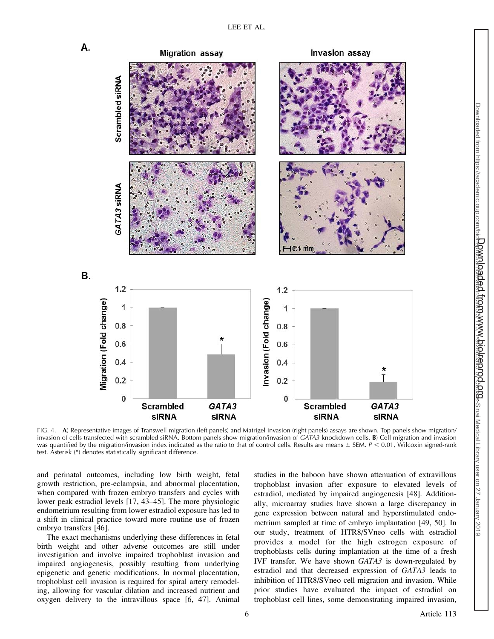

Downloaded from https://academic.oup.com/bio<del>lreprod/article-abstract/article-abstract</del>/article-abstract/article-abstract/article-abstract/article-abstract/article-abstract/2019

Downloaded from www.biolreprod.org.

FIG. 4. A) Representative images of Transwell migration (left panels) and Matrigel invasion (right panels) assays are shown. Top panels show migration/ invasion of cells transfected with scrambled siRNA. Bottom panels show migration/invasion of GATA3 knockdown cells. B) Cell migration and invasion was quantified by the migration/invasion index indicated as the ratio to that of control cells. Results are means  $\pm$  SEM. P < 0.01, Wilcoxin signed-rank test. Asterisk (\*) denotes statistically significant difference.

and perinatal outcomes, including low birth weight, fetal growth restriction, pre-eclampsia, and abnormal placentation, when compared with frozen embryo transfers and cycles with lower peak estradiol levels [17, 43–45]. The more physiologic endometrium resulting from lower estradiol exposure has led to a shift in clinical practice toward more routine use of frozen embryo transfers [46].

The exact mechanisms underlying these differences in fetal birth weight and other adverse outcomes are still under investigation and involve impaired trophoblast invasion and impaired angiogenesis, possibly resulting from underlying epigenetic and genetic modifications. In normal placentation, trophoblast cell invasion is required for spiral artery remodeling, allowing for vascular dilation and increased nutrient and oxygen delivery to the intravillous space [6, 47]. Animal

studies in the baboon have shown attenuation of extravillous trophoblast invasion after exposure to elevated levels of estradiol, mediated by impaired angiogenesis [48]. Additionally, microarray studies have shown a large discrepancy in gene expression between natural and hyperstimulated endometrium sampled at time of embryo implantation [49, 50]. In our study, treatment of HTR8/SVneo cells with estradiol provides a model for the high estrogen exposure of trophoblasts cells during implantation at the time of a fresh IVF transfer. We have shown GATA3 is down-regulated by estradiol and that decreased expression of GATA3 leads to inhibition of HTR8/SVneo cell migration and invasion. While prior studies have evaluated the impact of estradiol on trophoblast cell lines, some demonstrating impaired invasion,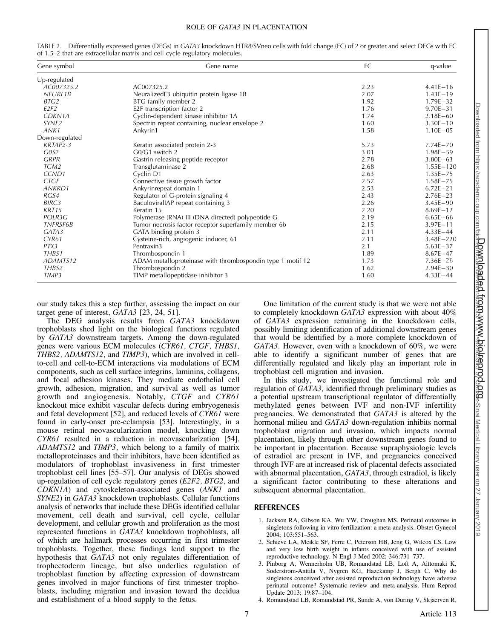#### ROLE OF GATA3 IN PLACENTATION

| Gene symbol       | Gene name                                                  | FC   | q-value       |
|-------------------|------------------------------------------------------------|------|---------------|
| Up-regulated      |                                                            |      |               |
| AC007325.2        | AC007325.2                                                 | 2.23 | $4.41E - 16$  |
| <b>NEURL1B</b>    | NeuralizedE3 ubiquitin protein ligase 1B                   | 2.07 | $1.43E - 19$  |
| BTG2              | BTG family member 2                                        | 1.92 | $1.79E - 32$  |
| E2F2              | E2F transcription factor 2                                 | 1.76 | $9.70E - 31$  |
| CDKN1A            | Cyclin-dependent kinase inhibitor 1A                       | 1.74 | $2.18E - 60$  |
| SYNE <sub>2</sub> | Spectrin repeat containing, nuclear envelope 2             | 1.60 | $3.30E - 10$  |
| ANK1              | Ankyrin1                                                   | 1.58 | $1.10E - 05$  |
| Down-regulated    |                                                            |      |               |
| KRTAP2-3          | Keratin associated protein 2-3                             | 5.73 | $7.74E - 70$  |
| GOS2              | G0/G1 switch 2                                             | 3.01 | $1.98E - 59$  |
| <b>GRPR</b>       | Gastrin releasing peptide receptor                         | 2.78 | $3.80E - 63$  |
| TGM2              | Transglutaminase 2                                         | 2.68 | $1.55E - 120$ |
| CCND <sub>1</sub> | Cyclin D1                                                  | 2.63 | $1.35E - 75$  |
| <b>CTGF</b>       | Connective tissue growth factor                            | 2.57 | $1.58E - 75$  |
| <b>ANKRD1</b>     | Ankyrinrepeat domain 1                                     | 2.53 | $6.72E - 21$  |
| RGS4              | Regulator of G-protein signaling 4                         | 2.43 | $2.76E - 23$  |
| <b>BIRC3</b>      | BaculoviralIAP repeat containing 3                         | 2.26 | $3.45E - 90$  |
| <b>KRT15</b>      | Keratin 15                                                 | 2.20 | $8.69E - 12$  |
| POLR3G            | Polymerase (RNA) III (DNA directed) polypeptide G          | 2.19 | $6.65E - 66$  |
| <b>TNFRSF6B</b>   | Tumor necrosis factor receptor superfamily member 6b       | 2.15 | $3.97E - 11$  |
| GATA3             | GATA binding protein 3                                     | 2.11 | $4.33E - 44$  |
| CYR <sub>61</sub> | Cysteine-rich, angiogenic inducer, 61                      | 2.11 | $3.48E - 220$ |
| PTX3              | Pentraxin3                                                 | 2.1  | $5.63E - 37$  |
| THBS1             | Thrombospondin 1                                           | 1.89 | $8.67E - 47$  |
| ADAMTS12          | ADAM metalloproteinase with thrombospondin type 1 motif 12 | 1.73 | $7.36E - 26$  |
| THBS2             | Thrombospondin 2                                           | 1.62 | $2.94E - 30$  |
| TIMP3             | TIMP metallopeptidase inhibitor 3                          | 1.60 | $4.33E - 44$  |

TABLE 2. Differentially expressed genes (DEGs) in GATA3 knockdown HTR8/SVneo cells with fold change (FC) of 2 or greater and select DEGs with FC of 1.5–2 that are extracellular matrix and cell cycle regulatory molecules.

our study takes this a step further, assessing the impact on our target gene of interest, GATA3 [23, 24, 51].

The DEG analysis results from GATA3 knockdown trophoblasts shed light on the biological functions regulated by GATA3 downstream targets. Among the down-regulated genes were various ECM molecules (CYR61, CTGF, THBS1, THBS2, ADAMTS12, and TIMP3), which are involved in cellto-cell and cell-to-ECM interactions via modulations of ECM components, such as cell surface integrins, laminins, collagens, and focal adhesion kinases. They mediate endothelial cell growth, adhesion, migration, and survival as well as tumor growth and angiogenesis. Notably, CTGF and CYR61 knockout mice exhibit vascular defects during embryogenesis and fetal development [52], and reduced levels of CYR61 were found in early-onset pre-eclampsia [53]. Interestingly, in a mouse retinal neovascularization model, knocking down CYR61 resulted in a reduction in neovascularization [54]. ADAMTS12 and TIMP3, which belong to a family of matrix metalloproteinases and their inhibitors, have been identified as modulators of trophoblast invasiveness in first trimester trophoblast cell lines [55–57]. Our analysis of DEGs showed up-regulation of cell cycle regulatory genes (E2F2, BTG2, and CDKN1A) and cytoskeleton-associated genes (ANK1 and SYNE2) in GATA3 knockdown trophoblasts. Cellular functions analysis of networks that include these DEGs identified cellular movement, cell death and survival, cell cycle, cellular development, and cellular growth and proliferation as the most represented functions in GATA3 knockdown trophoblasts, all of which are hallmark processes occurring in first trimester trophoblasts. Together, these findings lend support to the hypothesis that GATA3 not only regulates differentiation of trophectoderm lineage, but also underlies regulation of trophoblast function by affecting expression of downstream genes involved in major functions of first trimester trophoblasts, including migration and invasion toward the decidua and establishment of a blood supply to the fetus.

One limitation of the current study is that we were not able to completely knockdown GATA3 expression with about 40% of GATA3 expression remaining in the knockdown cells, possibly limiting identification of additional downstream genes that would be identified by a more complete knockdown of GATA3. However, even with a knockdown of 60%, we were able to identify a significant number of genes that are differentially regulated and likely play an important role in trophoblast cell migration and invasion.

In this study, we investigated the functional role and regulation of GATA3, identified through preliminary studies as a potential upstream transcriptional regulator of differentially methylated genes between IVF and non-IVF infertility pregnancies. We demonstrated that GATA3 is altered by the hormonal milieu and GATA3 down-regulation inhibits normal trophoblast migration and invasion, which impacts normal placentation, likely through other downstream genes found to be important in placentation. Because supraphysiologic levels of estradiol are present in IVF, and pregnancies conceived through IVF are at increased risk of placental defects associated with abnormal placentation, GATA3, through estradiol, is likely a significant factor contributing to these alterations and subsequent abnormal placentation.

#### REFERENCES

- 1. Jackson RA, Gibson KA, Wu YW, Croughan MS. Perinatal outcomes in singletons following in vitro fertilization: a meta-analysis. Obstet Gynecol 2004; 103:551–563.
- 2. Schieve LA, Meikle SF, Ferre C, Peterson HB, Jeng G, Wilcox LS. Low and very low birth weight in infants conceived with use of assisted reproductive technology. N Engl J Med 2002; 346:731–737.
- 3. Pinborg A, Wennerholm UB, Romundstad LB, Loft A, Aittomaki K, Soderstrom-Anttila V, Nygren KG, Hazekamp J, Bergh C. Why do singletons conceived after assisted reproduction technology have adverse perinatal outcome? Systematic review and meta-analysis. Hum Reprod Update 2013; 19:87–104.
- 4. Romundstad LB, Romundstad PR, Sunde A, von During V, Skjaerven R,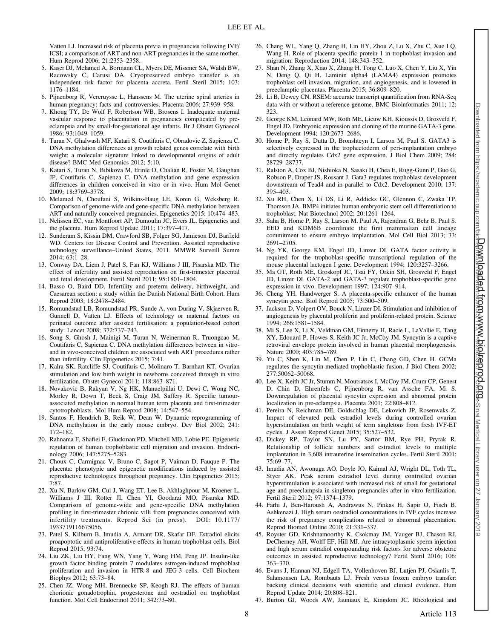Vatten LJ. Increased risk of placenta previa in pregnancies following IVF/ ICSI; a comparison of ART and non-ART pregnancies in the same mother. Hum Reprod 2006; 21:2353–2358.

- 5. Kaser DJ, Melamed A, Bormann CL, Myers DE, Missmer SA, Walsh BW, Racowsky C, Carusi DA. Cryopreserved embryo transfer is an independent risk factor for placenta accreta. Fertil Steril 2015; 103: 1176–1184.
- 6. Pijnenborg R, Vercruysse L, Hanssens M. The uterine spiral arteries in human pregnancy: facts and controversies. Placenta 2006; 27:939–958.
- 7. Khong TY, De Wolf F, Robertson WB, Brosens I. Inadequate maternal vascular response to placentation in pregnancies complicated by preeclampsia and by small-for-gestational age infants. Br J Obstet Gynaecol 1986; 93:1049–1059.
- 8. Turan N, Ghalwash MF, Katari S, Coutifaris C, Obradovic Z, Sapienza C. DNA methylation differences at growth related genes correlate with birth weight: a molecular signature linked to developmental origins of adult disease? BMC Med Genomics 2012; 5:10.
- 9. Katari S, Turan N, Bibikova M, Erinle O, Chalian R, Foster M, Gaughan JP, Coutifaris C, Sapienza C. DNA methylation and gene expression differences in children conceived in vitro or in vivo. Hum Mol Genet 2009; 18:3769–3778.
- 10. Melamed N, Choufani S, Wilkins-Haug LE, Koren G, Weksberg R. Comparison of genome-wide and gene-specific DNA methylation between ART and naturally conceived pregnancies. Epigenetics 2015; 10:474–483.
- 11. Nelissen EC, van Montfoort AP, Dumoulin JC, Evers JL. Epigenetics and the placenta. Hum Reprod Update 2011; 17:397–417.
- 12. Sunderam S, Kissin DM, Crawford SB, Folger SG, Jamieson DJ, Barfield WD. Centers for Disease Control and Prevention. Assisted reproductive technology surveillance–United States, 2011. MMWR Surveill Summ 2014; 63:1–28.
- 13. Conway DA, Liem J, Patel S, Fan KJ, Williams J III, Pisarska MD. The effect of infertility and assisted reproduction on first-trimester placental and fetal development. Fertil Steril 2011; 95:1801–1804.
- 14. Basso O, Baird DD. Infertility and preterm delivery, birthweight, and Caesarean section: a study within the Danish National Birth Cohort. Hum Reprod 2003; 18:2478–2484.
- 15. Romundstad LB, Romundstad PR, Sunde A, von During V, Skjaerven R, Gunnell D, Vatten LJ. Effects of technology or maternal factors on perinatal outcome after assisted fertilisation: a population-based cohort study. Lancet 2008; 372:737–743.
- 16. Song S, Ghosh J, Mainigi M, Turan N, Weinerman R, Truongcao M, Coutifaris C, Sapienza C. DNA methylation differences between in vitroand in vivo-conceived children are associated with ART procedures rather than infertility. Clin Epigenetics 2015; 7:41.
- 17. Kalra SK, Ratcliffe SJ, Coutifaris C, Molinaro T, Barnhart KT. Ovarian stimulation and low birth weight in newborns conceived through in vitro fertilization. Obstet Gynecol 2011; 118:863–871.
- 18. Novakovic B, Rakyan V, Ng HK, Manuelpillai U, Dewi C, Wong NC, Morley R, Down T, Beck S, Craig JM, Saffery R. Specific tumourassociated methylation in normal human term placenta and first-trimester cytotrophoblasts. Mol Hum Reprod 2008; 14:547–554.
- 19. Santos F, Hendrich B, Reik W, Dean W. Dynamic reprogramming of DNA methylation in the early mouse embryo. Dev Biol 2002; 241: 172–182.
- 20. Rahnama F, Shafiei F, Gluckman PD, Mitchell MD, Lobie PE. Epigenetic regulation of human trophoblastic cell migration and invasion. Endocrinology 2006; 147:5275–5283.
- 21. Choux C, Carmignac V, Bruno C, Sagot P, Vaiman D, Fauque P. The placenta: phenotypic and epigenetic modifications induced by assisted reproductive technologies throughout pregnancy. Clin Epigenetics 2015; 7:87.
- 22. Xu N, Barlow GM, Cui J, Wang ET, Lee B, Akhlaghpour M, Kroener L, Williams J III, Rotter JI, Chen YI, Goodarzi MO, Pisarska MD. Comparison of genome-wide and gene-specific DNA methylation profiling in first-trimester chrionic villi from pregnancies conceived with infertility treatments. Reprod Sci (in press). DOI: 10.1177/ 1933719116675056.
- 23. Patel S, Kilburn B, Imudia A, Armant DR, Skafar DF. Estradiol elicits proapoptotic and antiproliferative effects in human trophoblast cells. Biol Reprod 2015; 93:74.
- 24. Liu ZK, Liu HY, Fang WN, Yang Y, Wang HM, Peng JP. Insulin-like growth factor binding protein 7 modulates estrogen-induced trophoblast proliferation and invasion in HTR-8 and JEG-3 cells. Cell Biochem Biophys 2012; 63:73–84.
- 25. Chen JZ, Wong MH, Brennecke SP, Keogh RJ. The effects of human chorionic gonadotrophin, progesterone and oestradiol on trophoblast function. Mol Cell Endocrinol 2011; 342:73–80.
- 26. Chang WL, Yang Q, Zhang H, Lin HY, Zhou Z, Lu X, Zhu C, Xue LQ, Wang H. Role of placenta-specific protein 1 in trophoblast invasion and migration. Reproduction 2014; 148:343–352.
- 27. Shan N, Zhang X, Xiao X, Zhang H, Tong C, Luo X, Chen Y, Liu X, Yin N, Deng Q, Qi H. Laminin alpha4 (LAMA4) expression promotes trophoblast cell invasion, migration, and angiogenesis, and is lowered in preeclamptic placentas. Placenta 2015; 36:809–820.
- 28. Li B, Dewey CN. RSEM: accurate transcript quantification from RNA-Seq data with or without a reference genome. BMC Bioinformatics 2011; 12: 323.
- 29. George KM, Leonard MW, Roth ME, Lieuw KH, Kioussis D, Grosveld F, Engel JD. Embryonic expression and cloning of the murine GATA-3 gene. Development 1994; 120:2673–2686.
- 30. Home P, Ray S, Dutta D, Bronshteyn I, Larson M, Paul S. GATA3 is selectively expressed in the trophectoderm of peri-implantation embryo and directly regulates Cdx2 gene expression. J Biol Chem 2009; 284: 28729–28737.
- 31. Ralston A, Cox BJ, Nishioka N, Sasaki H, Chea E, Rugg-Gunn P, Guo G, Robson P, Draper JS, Rossant J. Gata3 regulates trophoblast development downstream of Tead4 and in parallel to Cdx2. Development 2010; 137: 395–403.
- 32. Xu RH, Chen X, Li DS, Li R, Addicks GC, Glennon C, Zwaka TP, Thomson JA. BMP4 initiates human embryonic stem cell differentiation to trophoblast. Nat Biotechnol 2002; 20:1261–1264.
- 33. Saha B, Home P, Ray S, Larson M, Paul A, Rajendran G, Behr B, Paul S. EED and KDM6B coordinate the first mammalian cell lineage commitment to ensure embryo implantation. Mol Cell Biol 2013; 33: 2691–2705.
- 34. Ng YK, George KM, Engel JD, Linzer DI. GATA factor activity is required for the trophoblast-specific transcriptional regulation of the mouse placental lactogen I gene. Development 1994; 120:3257–3266.
- 35. Ma GT, Roth ME, Groskopf JC, Tsai FY, Orkin SH, Grosveld F, Engel JD, Linzer DI. GATA-2 and GATA-3 regulate trophoblast-specific gene expression in vivo. Development 1997; 124:907–914.
- 36. Cheng YH, Handwerger S. A placenta-specific enhancer of the human syncytin gene. Biol Reprod 2005; 73:500–509.
- 37. Jackson D, Volpert OV, Bouck N, Linzer DI. Stimulation and inhibition of angiogenesis by placental proliferin and proliferin-related protein. Science 1994; 266:1581–1584.
- 38. Mi S, Lee X, Li X, Veldman GM, Finnerty H, Racie L, LaVallie E, Tang XY, Edouard P, Howes S, Keith JC Jr, McCoy JM. Syncytin is a captive retroviral envelope protein involved in human placental morphogenesis. Nature 2000; 403:785–789.
- 39. Yu C, Shen K, Lin M, Chen P, Lin C, Chang GD, Chen H. GCMa regulates the syncytin-mediated trophoblastic fusion. J Biol Chem 2002; 277:50062–50068.
- 40. Lee X, Keith JC Jr, Stumm N, Moutsatsos I, McCoy JM, Crum CP, Genest D, Chin D, Ehrenfels C, Pijnenborg R, van Assche FA, Mi S. Downregulation of placental syncytin expression and abnormal protein localization in pre-eclampsia. Placenta 2001; 22:808–812.
- 41. Pereira N, Reichman DE, Goldschlag DE, Lekovich JP, Rosenwaks Z. Impact of elevated peak estradiol levels during controlled ovarian hyperstimulation on birth weight of term singletons from fresh IVF-ET cycles. J Assist Reprod Genet 2015; 35:527–532.
- 42. Dickey RP, Taylor SN, Lu PY, Sartor BM, Rye PH, Pryrak R. Relationship of follicle numbers and estradiol levels to multiple implantation in 3,608 intrauterine insemination cycles. Fertil Steril 2001; 75:69–77.
- 43. Imudia AN, Awonuga AO, Doyle JO, Kaimal AJ, Wright DL, Toth TL, Styer AK. Peak serum estradiol level during controlled ovarian hyperstimulation is associated with increased risk of small for gestational age and preeclampsia in singleton pregnancies after in vitro fertilization. Fertil Steril 2012; 97:1374–1379.
- 44. Farhi J, Ben-Haroush A, Andrawus N, Pinkas H, Sapir O, Fisch B, Ashkenazi J. High serum oestradiol concentrations in IVF cycles increase the risk of pregnancy complications related to abnormal placentation. Reprod Biomed Online 2010; 21:331–337.
- 45. Royster GD, Krishnamoorthy K, Csokmay JM, Yauger BJ, Chason RJ, DeCherney AH, Wolff EF, Hill MJ. Are intracytoplasmic sperm injection and high serum estradiol compounding risk factors for adverse obstetric outcomes in assisted reproductive technology? Fertil Steril 2016; 106: 363–370.
- 46. Evans J, Hannan NJ, Edgell TA, Vollenhoven BJ, Lutjen PJ, Osianlis T, Salamonsen LA, Rombauts LJ. Fresh versus frozen embryo transfer: backing clinical decisions with scientific and clinical evidence. Hum Reprod Update 2014; 20:808–821.
- 47. Burton GJ, Woods AW, Jauniaux E, Kingdom JC. Rheological and